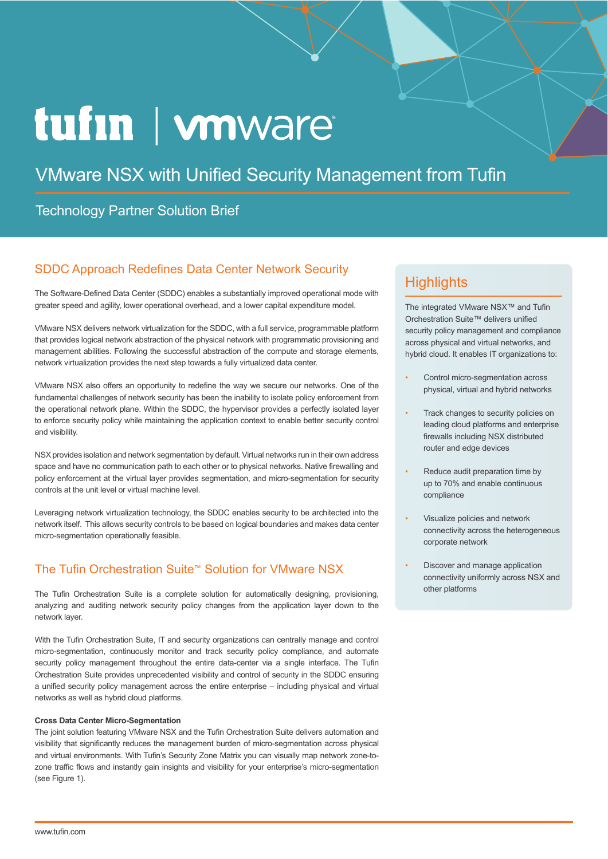# tufin | wnware

## VMware NSX with Unified Security Management from Tufin

## Technology Partner Solution Brief

## SDDC Approach Redefines Data Center Network Security

The Software-Defined Data Center (SDDC) enables a substantially improved operational mode with greater speed and agility, lower operational overhead, and a lower capital expenditure model.

VMware NSX delivers network virtualization for the SDDC, with a full service, programmable platform that provides logical network abstraction of the physical network with programmatic provisioning and management abilities. Following the successful abstraction of the compute and storage elements, network virtualization provides the next step towards a fully virtualized data center.

VMware NSX also offers an opportunity to redefine the way we secure our networks. One of the fundamental challenges of network security has been the inability to isolate policy enforcement from the operational network plane. Within the SDDC, the hypervisor provides a perfectly isolated layer to enforce security policy while maintaining the application context to enable better security control and visibility.

NSX provides isolation and network segmentation by default. Virtual networks run in their own address space and have no communication path to each other or to physical networks. Native firewalling and policy enforcement at the virtual layer provides segmentation, and micro-segmentation for security controls at the unit level or virtual machine level.

Leveraging network virtualization technology, the SDDC enables security to be architected into the network itself. This allows security controls to be based on logical boundaries and makes data center micro-segmentation operationally feasible.

## The Tufin Orchestration Suite™ Solution for VMware NSX

The Tufin Orchestration Suite is a complete solution for automatically designing, provisioning, analyzing and auditing network security policy changes from the application layer down to the network layer.

With the Tufin Orchestration Suite, IT and security organizations can centrally manage and control micro-segmentation, continuously monitor and track security policy compliance, and automate security policy management throughout the entire data-center via a single interface. The Tufin Orchestration Suite provides unprecedented visibility and control of security in the SDDC ensuring a unified security policy management across the entire enterprise – including physical and virtual networks as well as hybrid cloud platforms.

#### **Cross Data Center Micro-Segmentation**

The joint solution featuring VMware NSX and the Tufin Orchestration Suite delivers automation and visibility that significantly reduces the management burden of micro-segmentation across physical and virtual environments. With Tufin's Security Zone Matrix you can visually map network zone-tozone traffic flows and instantly gain insights and visibility for your enterprise's micro-segmentation (see Figure 1).

## **Highlights**

The integrated VMware NSX™ and Tufin Orchestration Suite™ delivers unified security policy management and compliance across physical and virtual networks, and hybrid cloud. It enables IT organizations to:

- Control micro-segmentation across physical, virtual and hybrid networks
- Track changes to security policies on leading cloud platforms and enterprise firewalls including NSX distributed router and edge devices
- Reduce audit preparation time by up to 70% and enable continuous compliance
- Visualize policies and network connectivity across the heterogeneous corporate network
- Discover and manage application connectivity uniformly across NSX and other platforms